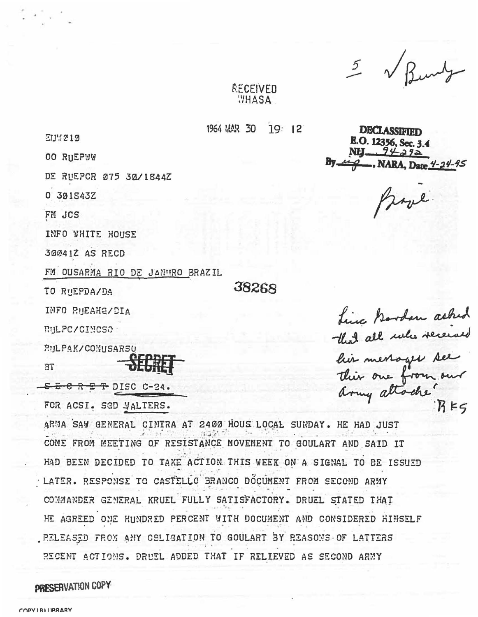5 V Bung

## RECEIVED **YHASA**

1964 MAR 30  $19:12$ 

38268

**EUM212** 

**00 RHEPWW** 

DE RUEPCR 075 30/1844Z

0 301S43Z

FM JCS

INFO WHITE HOUSE

30041Z AS RECD

FM OUSARMA RIO DE JANURO BRAZIL

TO RUEPDA/DA

INFO RUEAHQ/DIA

RULPC/CINCSO

*RULPAK/COMUSARSO* 

 $3T$ 

 $S - C R E + DISC C-24.$ FOR ACSI. SGD WALTERS.

ARMA SAW GENERAL CINTRA AT 2400 HOUS LOCAL SUNDAY. HE HAD JUST COME FROM MEETING OF RESISTANCE MOVEMENT TO GOULART AND SAID IT HAD BEEN DECIDED TO TAKE ACTION THIS WEEK ON A SIGNAL TO BE ISSUED LATER. RESPONSE TO CASTELLO BRANCO DOCUMENT FROM SECOND ARMY COMMANDER GENERAL KRUEL FULLY SATISFACTORY. DRUEL STATED THAT HE AGREED ONE HUNDRED PERCENT WITH DOCUMENT AND CONSIDERED HIMSELF . RELEASED FROM ANY CELIGATION TO GOULART BY REASONS OF LATTERS RECENT ACTIONS. DRUEL ADDED THAT IF RELIEVED AS SECOND ARMY

## PRESERVATION COPY

**DECLASSIF** E.O. 12356, Sec. 34

Book

hinc Bordon asked<br>that all notes received<br>his merroger see army attache.  $R$  $K$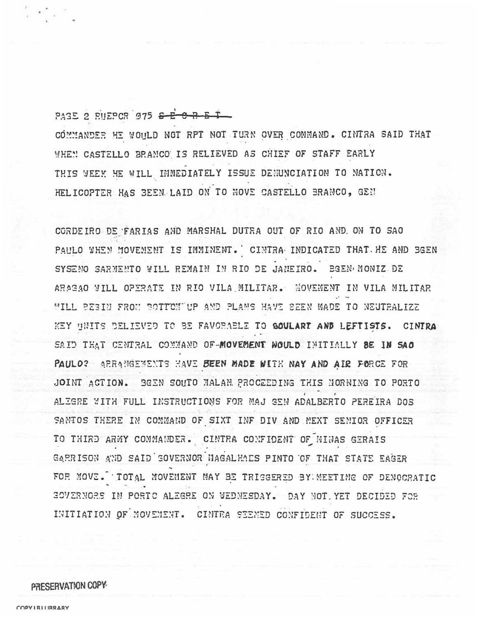PAGE 2 RUEPOR 975 S-E C-R-E T

COMMANDER HE WOULD NOT RPT NOT TURN OVER COMMAND. CINTRA SAID THAT WHEN CASTELLO BRANCO IS RELIEVED AS CHIEF OF STAFF EARLY THIS WEEK HE WILL IMMEDIATELY ISSUE DENUNCIATION TO NATION. HELICOPTER HAS BEEN LAID ON TO NOVE CASTELLO BRANCO, GEN

CORDEIRO DE FARIAS AND MARSHAL DUTRA OUT OF RIO AND. ON TO SAO PAULO WHEN MOVEMENT IS IMMINENT. CINTRA INDICATED THAT HE AND BGEN SYSENO SARMENTO WILL REMAIN IN RIO DE JANEIRO. BGEN MONIZ DE ARAGAO WILL OPERATE IN RIO VILA MILITAR. MOVEMENT IN VILA MILITAR WILL BEBIN FROM BOTTOM UP AND PLANS HAVE SEEN MADE TO NEUTRALIZE KEY UNITS DELIEVED TO BE FAVORABLE TO GOULART AND LEFTISTS. CINTRA SAID THAT CENTRAL COMMAND OF-MOVEMENT WOULD INITIALLY BE IN SAO PAULO? ARRANGEMENTS HAVE BEEN MADE WITH NAY AND AIR FORCE FOR JOINT ACTION. BEEN SOUTO MALAM PROCEEDING THIS MORNING TO PORTO ALIGRE WITH FULL INSTRUCTIONS FOR MAJ GEN ADALBERTO PEREIRA DOS SANIOS THERE IN COMMAND OF SIXT INF DIV AND MEXT SENIOR OFFICER TO THIRD ARMY COMMANDER. CINTRA CONFIDENT OF MINAS GERAIS GARRISON AND SAID SOVERNOR MAGALHAES PINTO OF THAT STATE EAGER FOR MOVE. TOTAL MOVEMENT MAY BE TRISSERED BY MEETIME OF DENOCRATIC SOVERNORS IN PORTO ALEGRE ON WEDNESDAY. DAY NOT YET DECIDED FOR INITIATION OF MOVEMENT. CINTRA SEENED CONFIDENT OF SUCCESS.

## PRESERVATION COPY